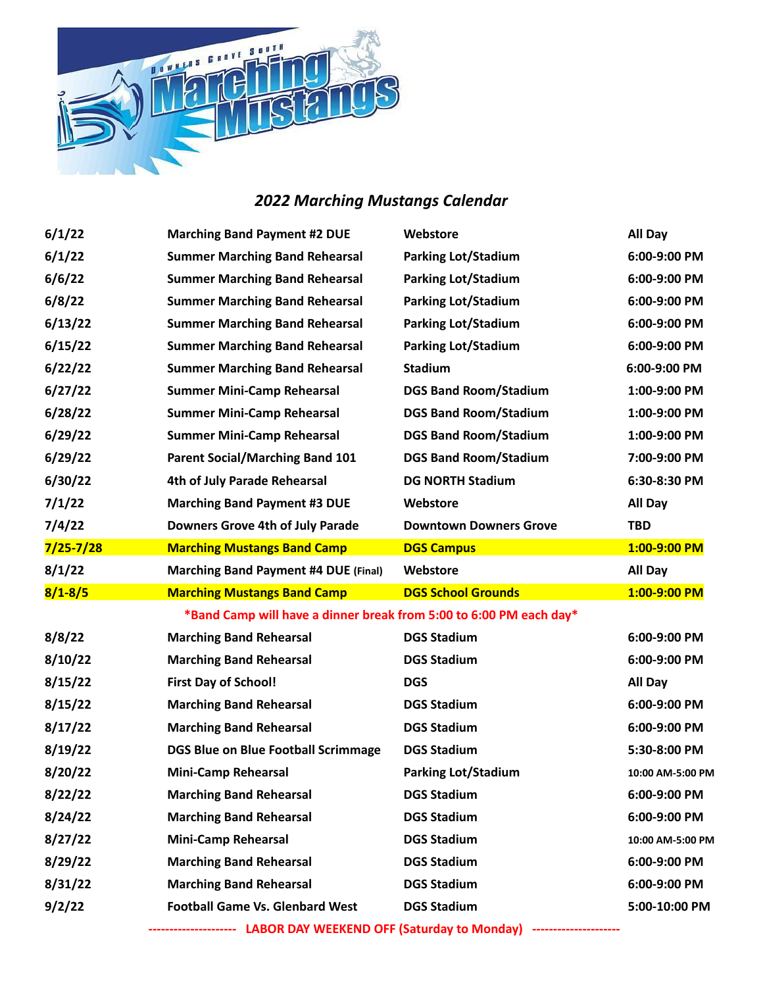

## *2022 Marching Mustangs Calendar*

| 6/1/22        | <b>Marching Band Payment #2 DUE</b>                                | Webstore                      | All Day          |
|---------------|--------------------------------------------------------------------|-------------------------------|------------------|
| 6/1/22        | <b>Summer Marching Band Rehearsal</b>                              | <b>Parking Lot/Stadium</b>    | 6:00-9:00 PM     |
| 6/6/22        | <b>Summer Marching Band Rehearsal</b>                              | <b>Parking Lot/Stadium</b>    | 6:00-9:00 PM     |
| 6/8/22        | <b>Summer Marching Band Rehearsal</b>                              | <b>Parking Lot/Stadium</b>    | 6:00-9:00 PM     |
| 6/13/22       | <b>Summer Marching Band Rehearsal</b>                              | <b>Parking Lot/Stadium</b>    | 6:00-9:00 PM     |
| 6/15/22       | <b>Summer Marching Band Rehearsal</b>                              | <b>Parking Lot/Stadium</b>    | 6:00-9:00 PM     |
| 6/22/22       | <b>Summer Marching Band Rehearsal</b>                              | Stadium                       | 6:00-9:00 PM     |
| 6/27/22       | <b>Summer Mini-Camp Rehearsal</b>                                  | <b>DGS Band Room/Stadium</b>  | 1:00-9:00 PM     |
| 6/28/22       | <b>Summer Mini-Camp Rehearsal</b>                                  | <b>DGS Band Room/Stadium</b>  | 1:00-9:00 PM     |
| 6/29/22       | <b>Summer Mini-Camp Rehearsal</b>                                  | <b>DGS Band Room/Stadium</b>  | 1:00-9:00 PM     |
| 6/29/22       | <b>Parent Social/Marching Band 101</b>                             | <b>DGS Band Room/Stadium</b>  | 7:00-9:00 PM     |
| 6/30/22       | 4th of July Parade Rehearsal                                       | <b>DG NORTH Stadium</b>       | 6:30-8:30 PM     |
| 7/1/22        | <b>Marching Band Payment #3 DUE</b>                                | Webstore                      | All Day          |
| 7/4/22        | Downers Grove 4th of July Parade                                   | <b>Downtown Downers Grove</b> | <b>TBD</b>       |
| $7/25 - 7/28$ | <b>Marching Mustangs Band Camp</b>                                 | <b>DGS Campus</b>             | 1:00-9:00 PM     |
| 8/1/22        | <b>Marching Band Payment #4 DUE (Final)</b>                        | Webstore                      | All Day          |
|               |                                                                    |                               |                  |
| $8/1 - 8/5$   | <b>Marching Mustangs Band Camp</b>                                 | <b>DGS School Grounds</b>     | 1:00-9:00 PM     |
|               | *Band Camp will have a dinner break from 5:00 to 6:00 PM each day* |                               |                  |
| 8/8/22        | <b>Marching Band Rehearsal</b>                                     | <b>DGS Stadium</b>            | 6:00-9:00 PM     |
| 8/10/22       | <b>Marching Band Rehearsal</b>                                     | <b>DGS Stadium</b>            | 6:00-9:00 PM     |
| 8/15/22       | <b>First Day of School!</b>                                        | <b>DGS</b>                    | All Day          |
| 8/15/22       | <b>Marching Band Rehearsal</b>                                     | <b>DGS Stadium</b>            | 6:00-9:00 PM     |
| 8/17/22       | <b>Marching Band Rehearsal</b>                                     | <b>DGS Stadium</b>            | 6:00-9:00 PM     |
| 8/19/22       | <b>DGS Blue on Blue Football Scrimmage</b>                         | <b>DGS Stadium</b>            | 5:30-8:00 PM     |
| 8/20/22       | <b>Mini-Camp Rehearsal</b>                                         | <b>Parking Lot/Stadium</b>    | 10:00 AM-5:00 PM |
| 8/22/22       | <b>Marching Band Rehearsal</b>                                     | <b>DGS Stadium</b>            | 6:00-9:00 PM     |
| 8/24/22       | <b>Marching Band Rehearsal</b>                                     | <b>DGS Stadium</b>            | 6:00-9:00 PM     |
| 8/27/22       | <b>Mini-Camp Rehearsal</b>                                         | <b>DGS Stadium</b>            | 10:00 AM-5:00 PM |
| 8/29/22       | <b>Marching Band Rehearsal</b>                                     | <b>DGS Stadium</b>            | 6:00-9:00 PM     |
| 8/31/22       | <b>Marching Band Rehearsal</b>                                     | <b>DGS Stadium</b>            | 6:00-9:00 PM     |
| 9/2/22        | <b>Football Game Vs. Glenbard West</b>                             | <b>DGS Stadium</b>            | 5:00-10:00 PM    |